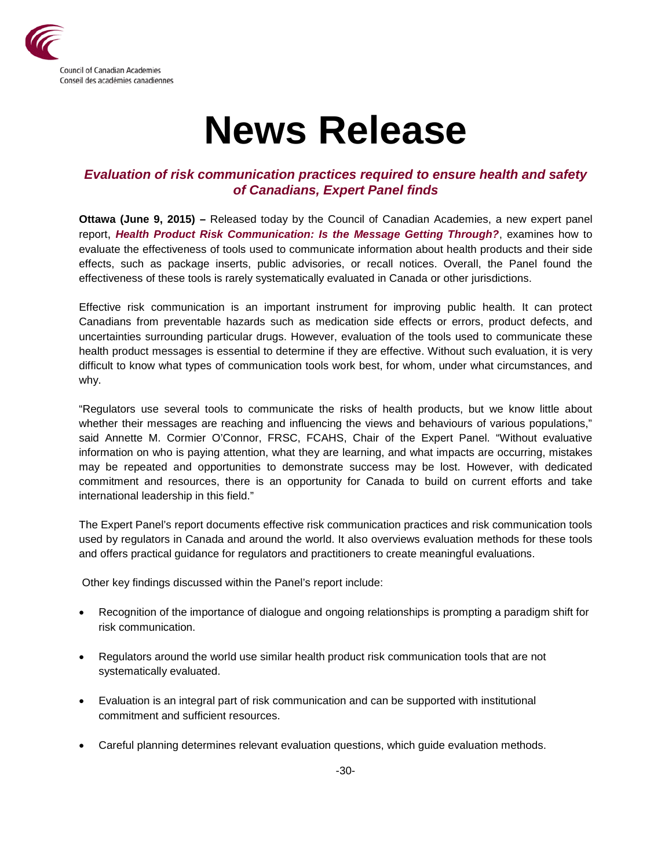

## **News Release**

## *Evaluation of risk communication practices required to ensure health and safety of Canadians, Expert Panel finds*

**Ottawa (June 9, 2015) –** Released today by the Council of Canadian Academies, a new expert panel report, *Health Product Risk Communication: Is the Message Getting Through?*, examines how to evaluate the effectiveness of tools used to communicate information about health products and their side effects, such as package inserts, public advisories, or recall notices. Overall, the Panel found the effectiveness of these tools is rarely systematically evaluated in Canada or other jurisdictions.

Effective risk communication is an important instrument for improving public health. It can protect Canadians from preventable hazards such as medication side effects or errors, product defects, and uncertainties surrounding particular drugs. However, evaluation of the tools used to communicate these health product messages is essential to determine if they are effective. Without such evaluation, it is very difficult to know what types of communication tools work best, for whom, under what circumstances, and why.

"Regulators use several tools to communicate the risks of health products, but we know little about whether their messages are reaching and influencing the views and behaviours of various populations," said Annette M. Cormier O'Connor, FRSC, FCAHS, Chair of the Expert Panel. "Without evaluative information on who is paying attention, what they are learning, and what impacts are occurring, mistakes may be repeated and opportunities to demonstrate success may be lost. However, with dedicated commitment and resources, there is an opportunity for Canada to build on current efforts and take international leadership in this field."

The Expert Panel's report documents effective risk communication practices and risk communication tools used by regulators in Canada and around the world. It also overviews evaluation methods for these tools and offers practical guidance for regulators and practitioners to create meaningful evaluations.

Other key findings discussed within the Panel's report include:

- Recognition of the importance of dialogue and ongoing relationships is prompting a paradigm shift for risk communication.
- Regulators around the world use similar health product risk communication tools that are not systematically evaluated.
- Evaluation is an integral part of risk communication and can be supported with institutional commitment and sufficient resources.
- Careful planning determines relevant evaluation questions, which guide evaluation methods.